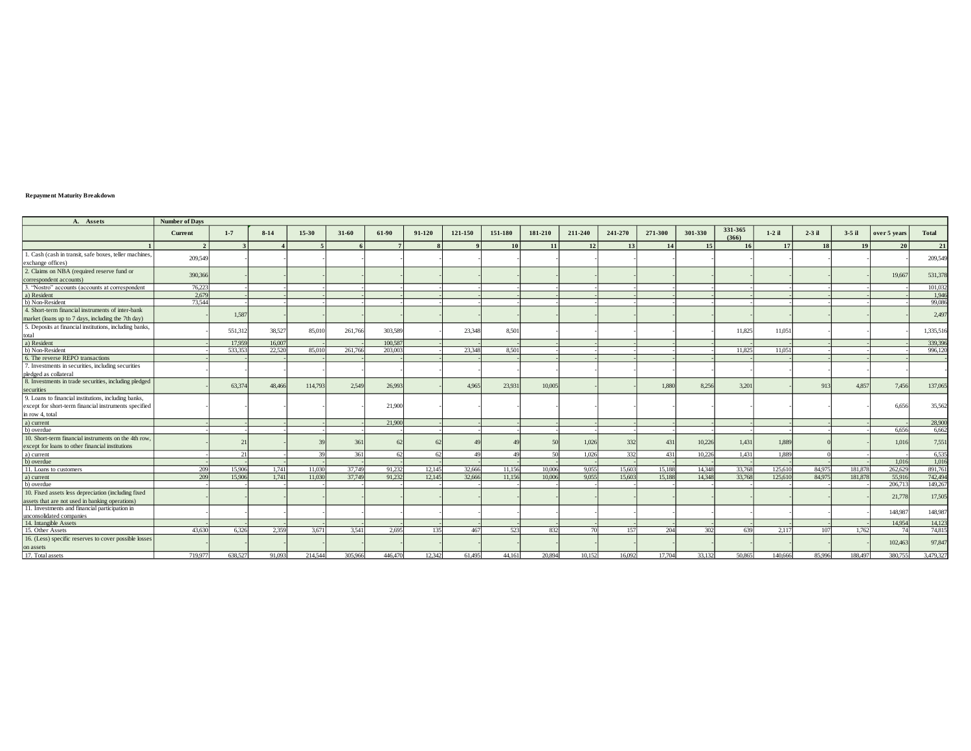## **Repayment Maturity Breakdown**

| A. Assets                                               | <b>Number of Days</b> |         |          |         |           |         |        |            |         |         |         |         |         |         |                  |                 |          |          |              |              |
|---------------------------------------------------------|-----------------------|---------|----------|---------|-----------|---------|--------|------------|---------|---------|---------|---------|---------|---------|------------------|-----------------|----------|----------|--------------|--------------|
|                                                         | Current               | $1 - 7$ | $8 - 14$ | 15-30   | $31 - 60$ | 61-90   | 91-120 | 121-150    | 151-180 | 181-210 | 211-240 | 241-270 | 271-300 | 301-330 | 331-365<br>(366) | $1-2$ il        | $2-3$ il | $3-5$ il | over 5 years | <b>Total</b> |
|                                                         | $\gamma$              |         |          |         |           |         |        |            | 10      | 11      | 12      | 13      | 14      | 15      | 16               | 17 <sup>1</sup> | 18       | 19       | 20           | 21           |
| 1. Cash (cash in transit, safe boxes, teller machines,  | 209,549               |         |          |         |           |         |        |            |         |         |         |         |         |         |                  |                 |          |          |              |              |
| exchange offices)                                       |                       |         |          |         |           |         |        |            |         |         |         |         |         |         |                  |                 |          |          |              | 209,549      |
| 2. Claims on NBA (required reserve fund or              |                       |         |          |         |           |         |        |            |         |         |         |         |         |         |                  |                 |          |          |              |              |
| correspondent accounts)                                 | 390,366               |         |          |         |           |         |        |            |         |         |         |         |         |         |                  |                 |          |          | 19,667       | 531,378      |
| 3. "Nostro" accounts (accounts at correspondent         | 76,223                |         |          |         |           |         |        |            |         |         |         |         |         |         |                  |                 |          |          |              | 101,032      |
| a) Resident                                             | 2.679                 |         |          |         |           |         |        |            |         |         |         |         |         |         |                  |                 |          |          |              | 1.946        |
| b) Non-Resident                                         | 73,544                |         |          |         |           |         |        |            |         |         |         |         |         |         |                  |                 |          |          |              | 99,086       |
| 4. Short-term financial instruments of inter-bank       |                       | 1,587   |          |         |           |         |        |            |         |         |         |         |         |         |                  |                 |          |          |              | 2,497        |
| market (loans up to 7 days, including the 7th day)      |                       |         |          |         |           |         |        |            |         |         |         |         |         |         |                  |                 |          |          |              |              |
| 5. Deposits at financial institutions, including banks, |                       |         |          |         | 261,766   | 303,589 |        |            |         |         |         |         |         |         | 11.825           |                 |          |          |              |              |
| total                                                   |                       | 551.312 | 38,527   | 85,010  |           |         |        | 23,348     | 8,501   |         |         |         |         |         |                  | 11,051          |          |          |              | 1,335,516    |
| a) Resident                                             |                       | 17,959  | 16,007   |         |           | 100.587 |        |            |         |         |         |         |         |         |                  |                 |          |          |              | 339,396      |
| b) Non-Resident                                         |                       | 533,353 | 22,520   | 85,010  | 261,766   | 203,003 |        | 23,348     | 8.501   |         |         |         |         |         | 11.825           | 11.051          |          |          |              | 996,120      |
| 6. The reverse REPO transactions                        |                       |         |          |         |           |         |        |            |         |         |         |         |         |         |                  |                 |          |          |              |              |
| 7. Investments in securities, including securities      |                       |         |          |         |           |         |        |            |         |         |         |         |         |         |                  |                 |          |          |              |              |
| pledged as collateral                                   |                       |         |          |         |           |         |        |            |         |         |         |         |         |         |                  |                 |          |          |              |              |
| 8. Investments in trade securities, including pledged   |                       | 63,374  | 48,466   | 114,793 | 2,549     | 26,993  |        | 4.965      | 23,931  | 10,005  |         |         | 1.880   | 8.256   | 3,201            |                 | 913      | 4,857    | 7,456        | 137,065      |
| securities                                              |                       |         |          |         |           |         |        |            |         |         |         |         |         |         |                  |                 |          |          |              |              |
| 9. Loans to financial institutions, including banks,    |                       |         |          |         |           |         |        |            |         |         |         |         |         |         |                  |                 |          |          |              |              |
| except for short-term financial instruments specified   |                       |         |          |         |           | 21,900  |        |            |         |         |         |         |         |         |                  |                 |          |          | 6,656        | 35,562       |
| in row 4, total                                         |                       |         |          |         |           |         |        |            |         |         |         |         |         |         |                  |                 |          |          |              |              |
| a) current                                              |                       |         |          |         |           | 21,900  |        |            |         |         |         |         |         |         |                  |                 |          |          |              | 28,900       |
| b) overdue                                              |                       |         |          |         |           |         |        |            |         |         |         |         |         |         |                  |                 |          |          | 6.656        | 6,662        |
| 10. Short-term financial instruments on the 4th row     |                       | 21      |          |         | 361       |         | 62     | $\Delta$ C |         |         | 1,026   | 332     | 431     | 10,226  | 1,431            | 1,889           |          |          | 1.016        | 7,551        |
| except for loans to other financial institutions        |                       |         |          |         |           |         |        |            |         |         |         |         |         |         |                  |                 |          |          |              |              |
| a) current                                              |                       | 21      |          | 30      | 361       | 62      | 62     | 49         | 49      | 50      | 1.026   | 332     | 431     | 10.226  | 1,431            | 1,889           |          |          |              | 6.535        |
| b) overdue                                              |                       |         |          |         |           |         |        |            |         |         |         |         |         |         |                  |                 |          |          | 1,016        | 1,01         |
| 11. Loans to customers                                  | 209                   | 15.906  | 1,741    | 11.030  | 37,749    | 91.232  | 12,145 | 32.666     | 11.156  | 10.006  | 9.055   | 15,603  | 15,188  | 14,348  | 33,768           | 125.610         | 84,975   | 181,878  | 262,629      | 891,76       |
| a) current                                              | 209                   | 15,906  | 1.741    | 11.030  | 37,749    | 91.232  | 12.145 | 32,666     | 11.156  | 10,006  | 9.055   | 15,603  | 15.188  | 14.348  | 33,768           | 125,610         | 84,975   | 181.878  | 55,916       | 742,494      |
| b) overdue                                              |                       |         |          |         |           |         |        |            |         |         |         |         |         |         |                  |                 |          |          | 206,713      | 149.26       |
| 10. Fixed assets less depreciation (including fixed     |                       |         |          |         |           |         |        |            |         |         |         |         |         |         |                  |                 |          |          | 21,778       | 17,50        |
| assets that are not used in banking operations)         |                       |         |          |         |           |         |        |            |         |         |         |         |         |         |                  |                 |          |          |              |              |
| 11. Investments and financial participation in          |                       |         |          |         |           |         |        |            |         |         |         |         |         |         |                  |                 |          |          | 148,987      | 148,987      |
| unconsolidated companies                                |                       |         |          |         |           |         |        |            |         |         |         |         |         |         |                  |                 |          |          |              |              |
| 14. Intangible Assets                                   |                       |         |          |         |           |         |        |            | 523     |         | 70      |         |         | 302     |                  |                 |          |          | 14,954<br>74 | 14,12        |
| 15. Other Assets                                        | 43,630                | 6,326   | 2.359    | 3.671   | 3.541     | 2.695   | 135    | 467        |         | 832     |         | 157     | 204     |         | 639              | 2.117           | 107      | 1.762    |              | 74,815       |
| 16. (Less) specific reserves to cover possible losses   |                       |         |          |         |           |         |        |            |         |         |         |         |         |         |                  |                 |          |          | 102,463      | 97,847       |
| on assets                                               |                       |         |          |         |           |         |        |            |         |         |         |         |         |         |                  |                 |          |          |              |              |
| 17. Total assets                                        | 719.977               | 638.527 | 91,093   | 214,544 | 305,966   | 446,470 | 12,342 | 61.495     | 44.161  | 20,894  | 10.152  | 16,092  | 17,704  | 33.132  | 50,865           | 140,666         | 85,996   | 188.497  | 380,755      | 3,479,327    |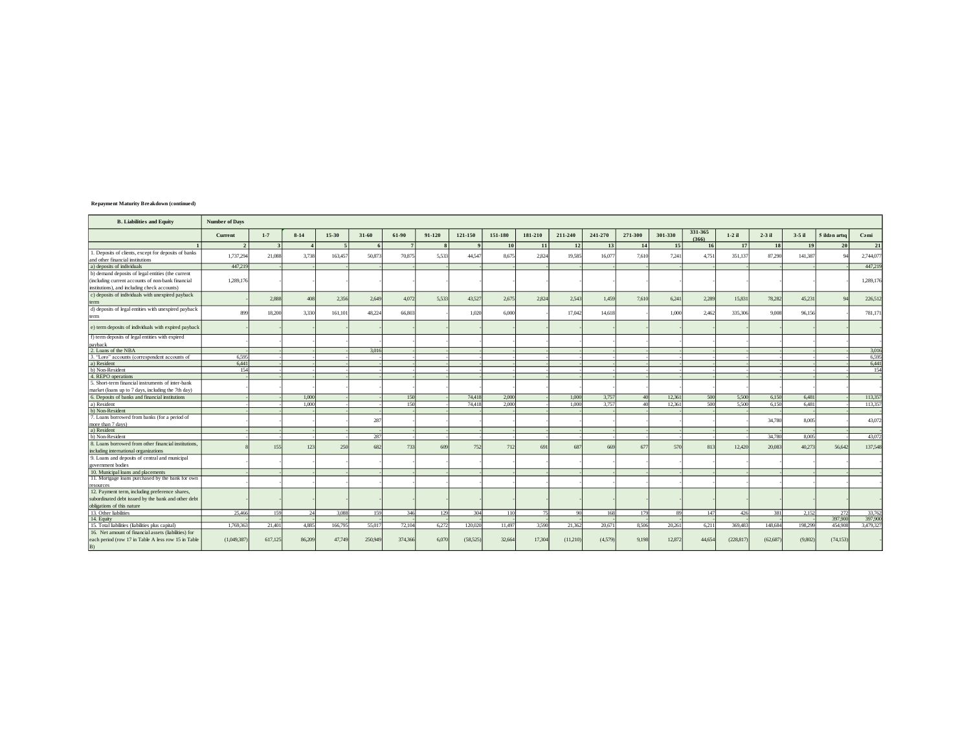| <b>B.</b> Liabilities and Equity                                                                                                                       | <b>Number of Days</b> |              |                        |         |           |                |              |              |         |         |          |         |         |         |                  |            |           |          |                |                  |
|--------------------------------------------------------------------------------------------------------------------------------------------------------|-----------------------|--------------|------------------------|---------|-----------|----------------|--------------|--------------|---------|---------|----------|---------|---------|---------|------------------|------------|-----------|----------|----------------|------------------|
|                                                                                                                                                        | Current               | $1 - 7$      | $8-14$                 | $15-30$ | $31 - 60$ | 61-90          | 91-120       | 121-150      | 151-180 | 181-210 | 211-240  | 241-270 | 271-300 | 301-330 | 331-365<br>(366) | $1-2$ il   | $2-3$ il  | $3-5$ il | 5 ildən artıq  | Cami             |
|                                                                                                                                                        | $\overline{2}$        | $\mathbf{R}$ | $\boldsymbol{\Lambda}$ | $\sim$  | 6         | 7 <sup>1</sup> | $\mathbf{R}$ | $\mathbf{o}$ | 10      | 11      | 12       | 13      | 14      | 15      | 16               | 17         | <b>18</b> | 19       | 20             | 21               |
| 1. Deposits of clients, except for deposits of banks<br>and other financial institutions                                                               | 1,737,294             | 21,088       | 3.738                  | 163,457 | 50.873    | 70,875         | 5.533        | 44,547       | 8.675   | 2,824   | 19,585   | 16,077  | 7.610   | 7.241   | 4,751            | 351,137    | 87.290    | 141,387  |                | 2,744,07         |
| a) deposits of individuals                                                                                                                             | 447.219               |              |                        |         |           |                |              |              |         |         |          |         |         |         |                  |            |           |          |                | 447,21           |
| b) demand deposits of legal entities (the current<br>(including current accounts of non-bank financial<br>institutions), and including check accounts) | 1.289.176             |              |                        |         |           |                |              |              |         |         |          |         |         |         |                  |            |           |          |                | 1,289,176        |
| c) deposits of individuals with unexpired payback<br>term                                                                                              |                       | 2,888        | 408                    | 2,356   | 2,649     | 4.072          | 5,533        | 43,527       | 2,675   | 2,824   | 2,543    | 1,459   | 7.610   | 6,241   | 2,289            | 15,831     | 78,282    | 45,231   | $\Omega$       | 226,512          |
| d) deposits of legal entities with unexpired payback<br>term                                                                                           | 899                   | 18,200       | 3.330                  | 161,101 | 48.224    | 66,803         |              | 1.020        | 6,000   |         | 17.042   | 14,618  |         | 1.000   | 2.462            | 335,306    | 9,008     | 96.156   |                | 781,171          |
| e) term deposits of individuals with expired payback                                                                                                   |                       |              |                        |         |           |                |              |              |         |         |          |         |         |         |                  |            |           |          |                |                  |
| f) term deposits of legal entities with expired<br>payback                                                                                             |                       |              |                        |         |           |                |              |              |         |         |          |         |         |         |                  |            |           |          |                |                  |
| 2. Loans of the NBA                                                                                                                                    |                       |              |                        |         | 3.016     |                |              |              |         |         |          |         |         |         |                  |            |           |          |                | 3,016            |
| 3. "Loro" accounts (correspondent accounts of                                                                                                          | 6.595                 |              |                        |         |           |                |              |              |         |         |          |         |         |         |                  |            |           |          |                | 6,595            |
| a) Resident                                                                                                                                            | 6.441                 |              |                        |         |           |                |              |              |         |         |          |         |         |         |                  |            |           |          |                | 6,441            |
| b) Non-Resident                                                                                                                                        | 154                   |              |                        |         |           |                |              |              |         |         |          |         |         |         |                  |            |           |          |                | 154              |
| 4. REPO operations                                                                                                                                     |                       |              |                        |         |           |                |              |              |         |         |          |         |         |         |                  |            |           |          |                |                  |
| 5. Short-term financial instruments of inter-bank                                                                                                      |                       |              |                        |         |           |                |              |              |         |         |          |         |         |         |                  |            |           |          |                |                  |
| market (loans up to 7 days, including the 7th day)                                                                                                     |                       |              |                        |         |           |                |              |              |         |         |          |         |         |         |                  |            |           |          |                |                  |
| 6. Deposits of banks and financial institutions                                                                                                        |                       |              | 1,000                  |         |           | 150            |              | 74,418       | 2.000   |         | 1,000    | 3.757   |         | 12.361  | 500              | 5,500      | 6.150     | 6.481    |                | 113,35           |
| a) Resident                                                                                                                                            |                       |              | 1.000                  |         |           | 150            |              | 74.418       | 2.000   |         | 1,000    | 3.757   |         | 12.361  | 500              | 5.500      | 6,150     | 6.481    |                | 113,35           |
| b) Non-Resident                                                                                                                                        |                       |              |                        |         |           |                |              |              |         |         |          |         |         |         |                  |            |           |          |                |                  |
| 7. Loans borrowed from banks (for a period of                                                                                                          |                       |              |                        |         | 287       |                |              |              |         |         |          |         |         |         |                  |            | 34,780    | 8.00:    |                | 43,07            |
| more than 7 days)                                                                                                                                      |                       |              |                        |         |           |                |              |              |         |         |          |         |         |         |                  |            |           |          |                |                  |
| a) Resident                                                                                                                                            |                       |              |                        |         |           |                |              |              |         |         |          |         |         |         |                  |            |           |          |                |                  |
| b) Non-Resident                                                                                                                                        |                       |              |                        |         | 287       |                |              |              |         |         |          |         |         |         |                  |            | 34,780    | 8.005    |                | 43.07            |
| 8. Loans borrowed from other financial institutions<br>including international organizations                                                           |                       | 155          | 123                    | 250     | 682       | 733            | 609          | 752          | 712     | 69      | 687      | 669     | 67      | 570     | 813              | 12,420     | 20,083    | 40.273   | 56,642         | 137,548          |
| 9. Loans and deposits of central and municipal<br>government bodies                                                                                    |                       |              |                        |         |           |                |              |              |         |         |          |         |         |         |                  |            |           |          |                |                  |
| 10. Municipal loans and placements                                                                                                                     |                       |              |                        |         |           |                |              |              |         |         |          |         |         |         |                  |            |           |          |                |                  |
| 11. Mortgage loans purchased by the bank for own<br>resources                                                                                          |                       |              |                        |         |           |                |              |              |         |         |          |         |         |         |                  |            |           |          |                |                  |
| 12. Payment term, including preference shares,                                                                                                         |                       |              |                        |         |           |                |              |              |         |         |          |         |         |         |                  |            |           |          |                |                  |
| subordinated debt issued by the bank and other debt                                                                                                    |                       |              |                        |         |           |                |              |              |         |         |          |         |         |         |                  |            |           |          |                |                  |
| obligations of this nature                                                                                                                             |                       |              |                        |         |           |                |              |              |         | 75      |          |         |         |         |                  |            |           |          |                |                  |
| 13. Other liabilities                                                                                                                                  | 25,466                | 159          | 24                     | 3,088   | 159       | 346            | 129          | 304          | 110     |         | 90       | 168     | 179     | 89      | 147              | 426        | 381       | 2,152    | 272<br>397,900 | 33,76<br>397,900 |
| 14. Equity                                                                                                                                             | 1.769.363             | 21.401       | 4.885                  | 166,795 | 55,017    |                | 6.272        |              | 11.497  | 3.590   |          | 20,671  | 8.506   | 20.261  |                  | 369,483    | 148,684   | 198,299  | 454,908        | 3,479,32         |
| 15. Total liabilities (liabilities plus capital)                                                                                                       |                       |              |                        |         |           | 72,104         |              | 120,020      |         |         | 21,362   |         |         |         | 6,211            |            |           |          |                |                  |
| 16. Net amount of financial assets (liabilities) for<br>each period (row 17 in Table A less row 15 in Table                                            | (1,049,387)           | 617,125      | 86,209                 | 47,749  | 250,949   | 374,366        | 6,070        | (58, 525)    | 32,664  | 17,304  | (11,210) | (4.579) | 9,198   | 12,872  | 44,654           | (228, 817) | (62, 687) | (9,802)  | (74, 153)      |                  |

## Repayment Maturity Breakdown (continued)